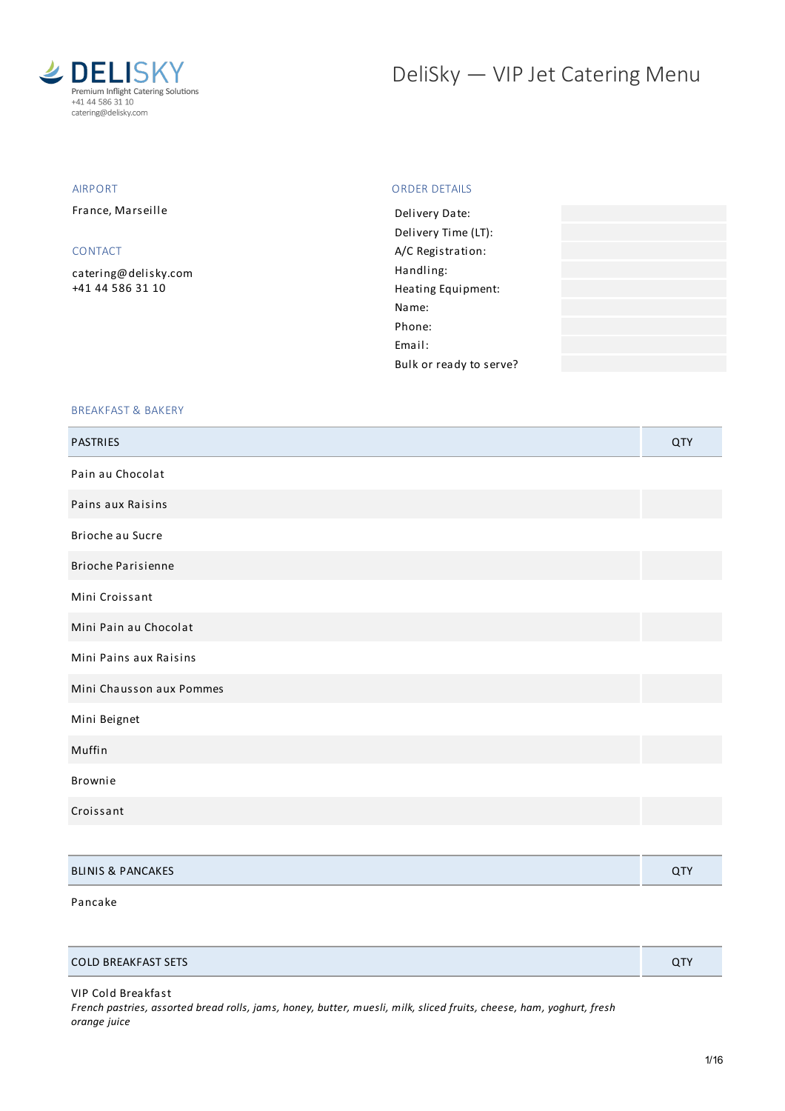

# DeliSky - VIP Jet Catering Menu

## AIRPORT

France, Marseille

## CONTACT

[catering@delisky.com](mailto:catering@delisky.com) +41 44 586 31 10

## ORDER DETAILS

| Delivery Date:          |  |
|-------------------------|--|
| Delivery Time (LT):     |  |
| A/C Registration:       |  |
| Handling:               |  |
| Heating Equipment:      |  |
| Name:                   |  |
| Phone:                  |  |
| Email:                  |  |
| Bulk or ready to serve? |  |
|                         |  |

## BREAKFAST & BAKERY

| <b>PASTRIES</b>              | QTY |
|------------------------------|-----|
| Pain au Chocolat             |     |
| Pains aux Raisins            |     |
| Brioche au Sucre             |     |
| <b>Brioche Parisienne</b>    |     |
| Mini Croissant               |     |
| Mini Pain au Chocolat        |     |
| Mini Pains aux Raisins       |     |
| Mini Chausson aux Pommes     |     |
| Mini Beignet                 |     |
| Muffin                       |     |
| Brownie                      |     |
| Croissant                    |     |
|                              |     |
| <b>BLINIS &amp; PANCAKES</b> | QTY |

#### Pancake

| <b>COLD BREAKFAST SETS</b> |  |
|----------------------------|--|

VIP Cold Breakfast

French pastries, assorted bread rolls, jams, honey, butter, muesli, milk, sliced fruits, cheese, ham, yoghurt, fresh *orange juice*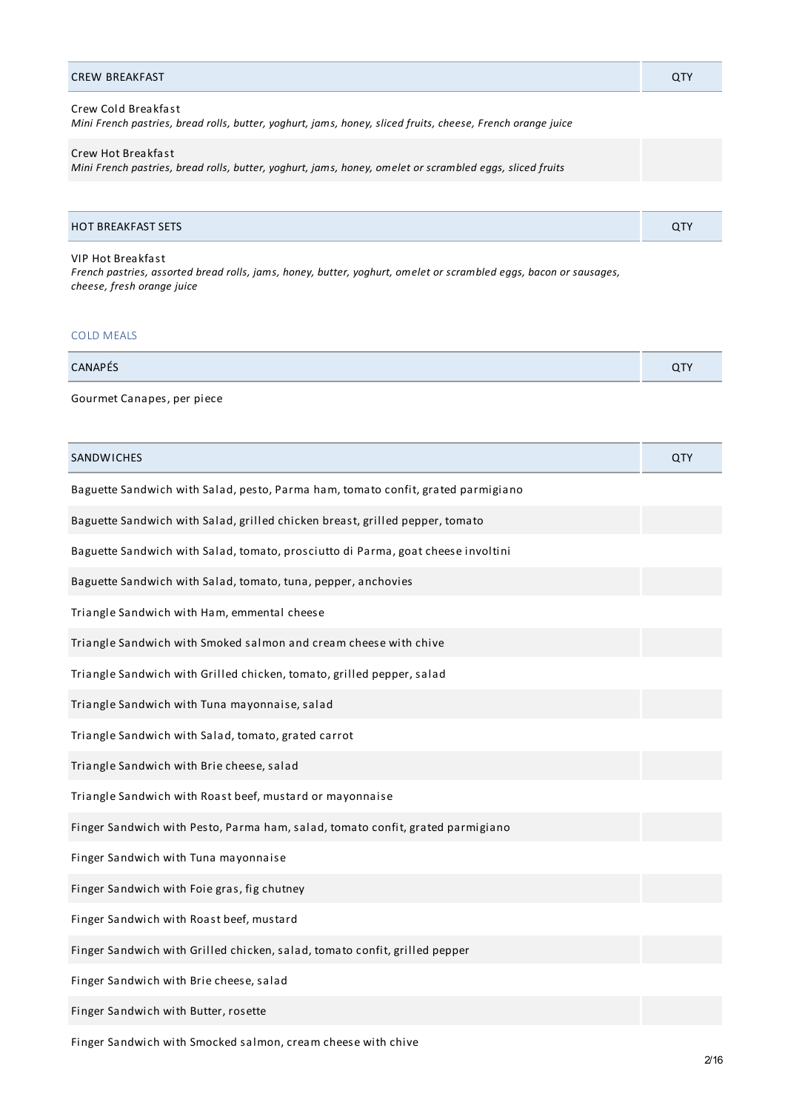| Crew Cold Breakfast<br>Mini French pastries, bread rolls, butter, yoghurt, jams, honey, sliced fruits, cheese, French orange juice |  |
|------------------------------------------------------------------------------------------------------------------------------------|--|
| Crew Hot Breakfast<br>Mini French pastries, bread rolls, butter, yoghurt, jams, honey, omelet or scrambled eggs, sliced fruits     |  |
|                                                                                                                                    |  |

CREW BREAKFAST QTY

| <b>HOT BREAKFAST SETS</b> | <b>ATV</b><br>$\mathbf{u}$ |
|---------------------------|----------------------------|
|                           |                            |

# VIP Hot Breakfast

French pastries, assorted bread rolls, jams, honey, butter, yoghurt, omelet or scrambled eggs, bacon or sausages, *cheese, fresh orange juice*

## COLD MEALS

| <b>CANAPÉS</b> |  |
|----------------|--|
|                |  |

Gourmet Canapes, per piece

| <b>SANDWICHES</b>                                                                | QTY |
|----------------------------------------------------------------------------------|-----|
| Baguette Sandwich with Salad, pesto, Parma ham, tomato confit, grated parmigiano |     |
| Baguette Sandwich with Salad, grilled chicken breast, grilled pepper, tomato     |     |
| Baguette Sandwich with Salad, tomato, prosciutto di Parma, goat cheese involtini |     |
| Baguette Sandwich with Salad, tomato, tuna, pepper, anchovies                    |     |
| Triangle Sandwich with Ham, emmental cheese                                      |     |
| Triangle Sandwich with Smoked salmon and cream cheese with chive                 |     |
| Triangle Sandwich with Grilled chicken, tomato, grilled pepper, salad            |     |
| Triangle Sandwich with Tuna mayonnaise, salad                                    |     |
| Triangle Sandwich with Salad, tomato, grated carrot                              |     |
| Triangle Sandwich with Brie cheese, salad                                        |     |
| Triangle Sandwich with Roast beef, mustard or mayonnaise                         |     |
| Finger Sandwich with Pesto, Parma ham, salad, tomato confit, grated parmigiano   |     |
| Finger Sandwich with Tuna mayonnaise                                             |     |
| Finger Sandwich with Foie gras, fig chutney                                      |     |
| Finger Sandwich with Roast beef, mustard                                         |     |
| Finger Sandwich with Grilled chicken, salad, tomato confit, grilled pepper       |     |
| Finger Sandwich with Brie cheese, salad                                          |     |
| Finger Sandwich with Butter, rosette                                             |     |

Finger Sandwich with Smocked salmon, cream cheese with chive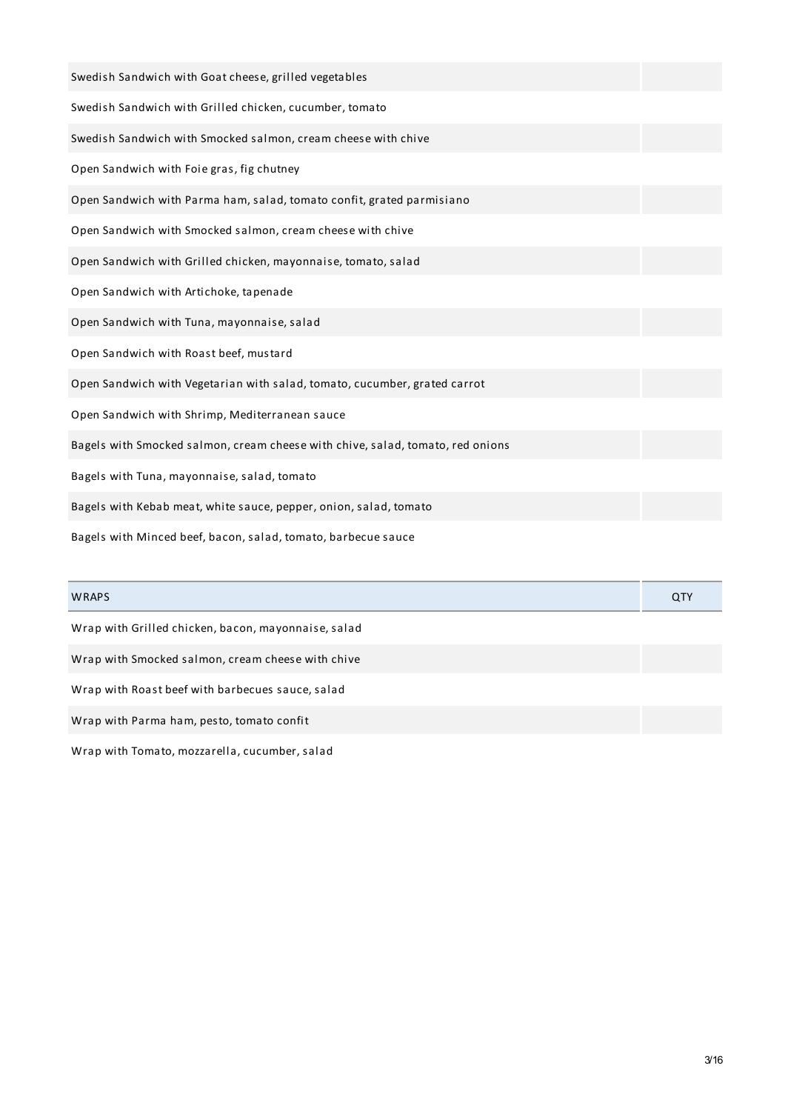| Swedish Sandwich with Goat cheese, grilled vegetables                          |     |
|--------------------------------------------------------------------------------|-----|
| Swedish Sandwich with Grilled chicken, cucumber, tomato                        |     |
| Swedish Sandwich with Smocked salmon, cream cheese with chive                  |     |
| Open Sandwich with Foie gras, fig chutney                                      |     |
| Open Sandwich with Parma ham, salad, tomato confit, grated parmisiano          |     |
| Open Sandwich with Smocked salmon, cream cheese with chive                     |     |
| Open Sandwich with Grilled chicken, mayonnaise, tomato, salad                  |     |
| Open Sandwich with Artichoke, tapenade                                         |     |
| Open Sandwich with Tuna, mayonnaise, salad                                     |     |
| Open Sandwich with Roast beef, mustard                                         |     |
| Open Sandwich with Vegetarian with salad, tomato, cucumber, grated carrot      |     |
| Open Sandwich with Shrimp, Mediterranean sauce                                 |     |
| Bagels with Smocked salmon, cream cheese with chive, salad, tomato, red onions |     |
| Bagels with Tuna, mayonnaise, salad, tomato                                    |     |
| Bagels with Kebab meat, white sauce, pepper, onion, salad, tomato              |     |
| Bagels with Minced beef, bacon, salad, tomato, barbecue sauce                  |     |
| WRAPS                                                                          | QTY |

Wrap with Grilled chicken, bacon, mayonnaise, salad

Wrap with Smocked salmon, cream cheese with chive

Wrap with Roast beef with barbecues sauce, salad

Wrap with Parma ham, pesto, tomato confit

Wrap with Tomato, mozzarella, cucumber, salad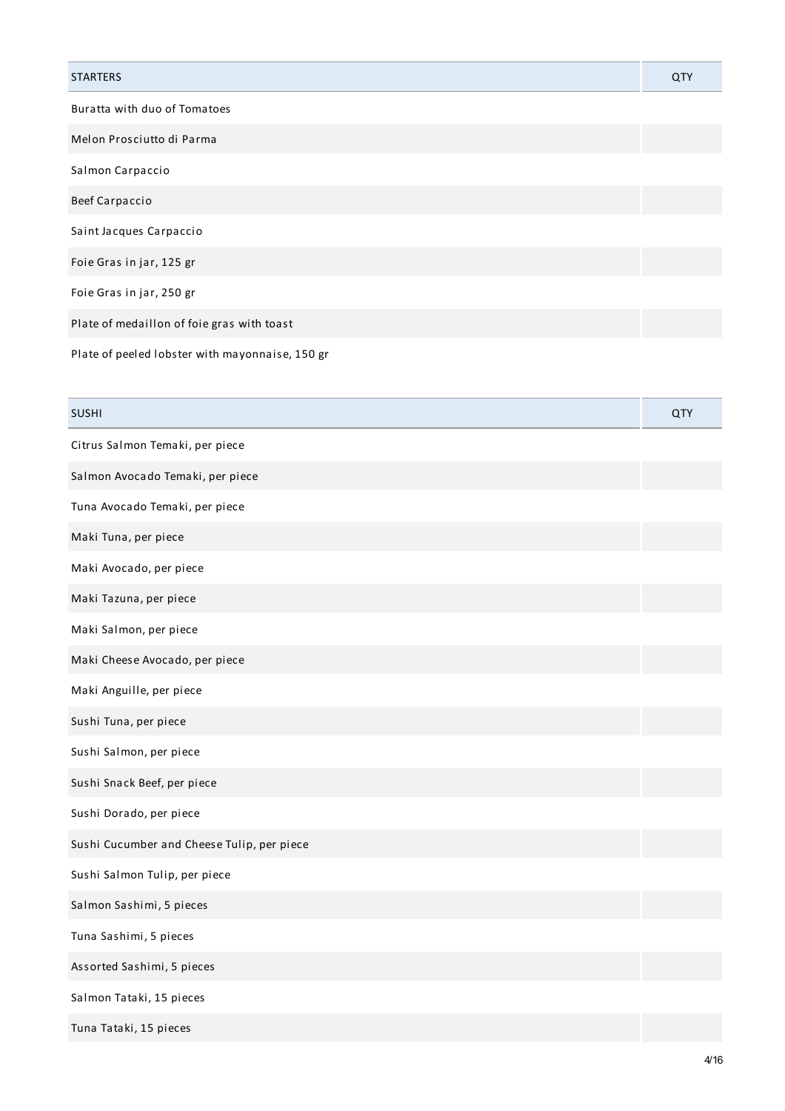| <b>STARTERS</b>                                 | QTY |
|-------------------------------------------------|-----|
| Buratta with duo of Tomatoes                    |     |
| Melon Prosciutto di Parma                       |     |
| Salmon Carpaccio                                |     |
| <b>Beef Carpaccio</b>                           |     |
| Saint Jacques Carpaccio                         |     |
| Foie Gras in jar, 125 gr                        |     |
| Foie Gras in jar, 250 gr                        |     |
| Plate of medaillon of foie gras with toast      |     |
| Plate of peeled lobster with mayonnaise, 150 gr |     |

| <b>SUSHI</b>                               | QTY |
|--------------------------------------------|-----|
| Citrus Salmon Temaki, per piece            |     |
| Salmon Avocado Temaki, per piece           |     |
| Tuna Avocado Temaki, per piece             |     |
| Maki Tuna, per piece                       |     |
| Maki Avocado, per piece                    |     |
| Maki Tazuna, per piece                     |     |
| Maki Salmon, per piece                     |     |
| Maki Cheese Avocado, per piece             |     |
| Maki Anguille, per piece                   |     |
| Sushi Tuna, per piece                      |     |
| Sushi Salmon, per piece                    |     |
| Sushi Snack Beef, per piece                |     |
| Sushi Dorado, per piece                    |     |
| Sushi Cucumber and Cheese Tulip, per piece |     |
| Sushi Salmon Tulip, per piece              |     |
| Salmon Sashimi, 5 pieces                   |     |
| Tuna Sashimi, 5 pieces                     |     |
| Assorted Sashimi, 5 pieces                 |     |
| Salmon Tataki, 15 pieces                   |     |
| Tuna Tataki, 15 pieces                     |     |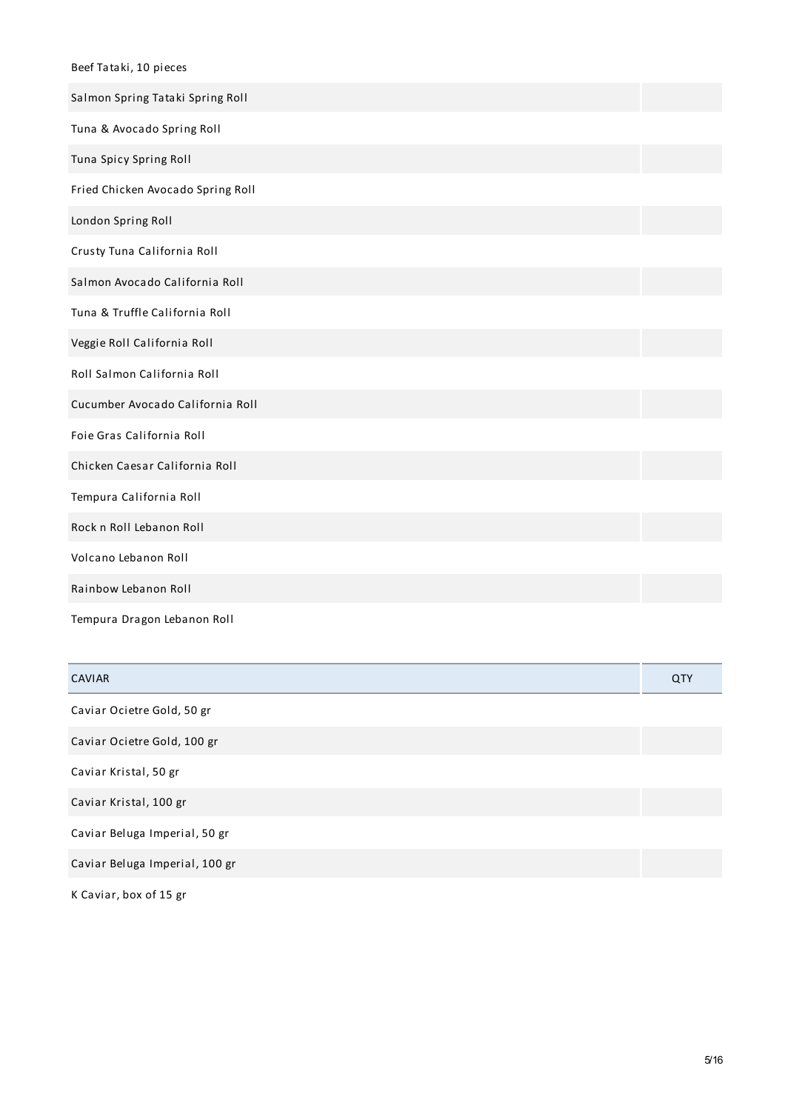| Beef Tataki, 10 pieces            |
|-----------------------------------|
| Salmon Spring Tataki Spring Roll  |
| Tuna & Avocado Spring Roll        |
| Tuna Spicy Spring Roll            |
| Fried Chicken Avocado Spring Roll |
| London Spring Roll                |
| Crusty Tuna California Roll       |
| Salmon Avocado California Roll    |
| Tuna & Truffle California Roll    |
| Veggie Roll California Roll       |
| Roll Salmon California Roll       |
| Cucumber Avocado California Roll  |
| Foie Gras California Roll         |
| Chicken Caesar California Roll    |
| Tempura California Roll           |
| Rock n Roll Lebanon Roll          |
| Volcano Lebanon Roll              |
| Rainbow Lebanon Roll              |
| Tempura Dragon Lebanon Roll       |

| <b>CAVIAR</b>                  | QTY |
|--------------------------------|-----|
| Caviar Ocietre Gold, 50 gr     |     |
| Caviar Ocietre Gold, 100 gr    |     |
| Caviar Kristal, 50 gr          |     |
| Caviar Kristal, 100 gr         |     |
| Caviar Beluga Imperial, 50 gr  |     |
| Caviar Beluga Imperial, 100 gr |     |
|                                |     |

K Caviar, box of 15 gr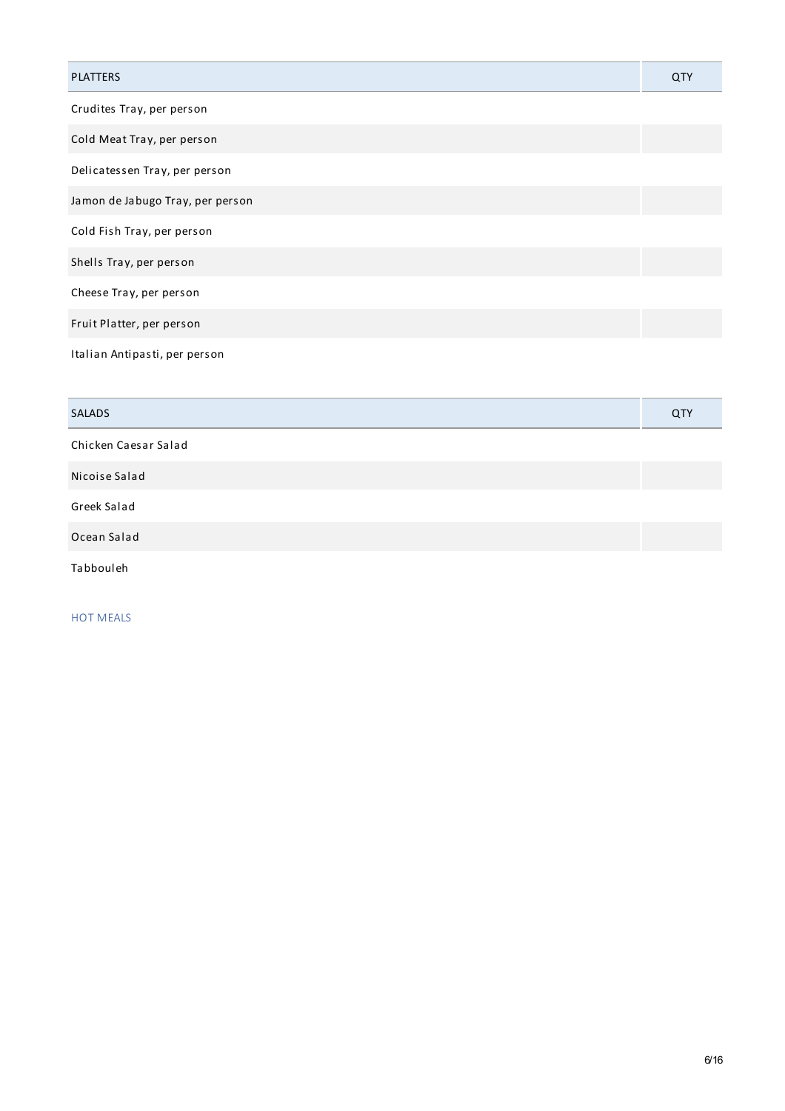| <b>PLATTERS</b>                  | QTY |
|----------------------------------|-----|
| Crudites Tray, per person        |     |
| Cold Meat Tray, per person       |     |
| Delicatessen Tray, per person    |     |
| Jamon de Jabugo Tray, per person |     |
| Cold Fish Tray, per person       |     |
| Shells Tray, per person          |     |
| Cheese Tray, per person          |     |
| Fruit Platter, per person        |     |
| Italian Antipasti, per person    |     |

| <b>SALADS</b>        | QTY |
|----------------------|-----|
| Chicken Caesar Salad |     |
| Nicoise Salad        |     |
| Greek Salad          |     |
| Ocean Salad          |     |
| Tabbouleh            |     |

HOT MEALS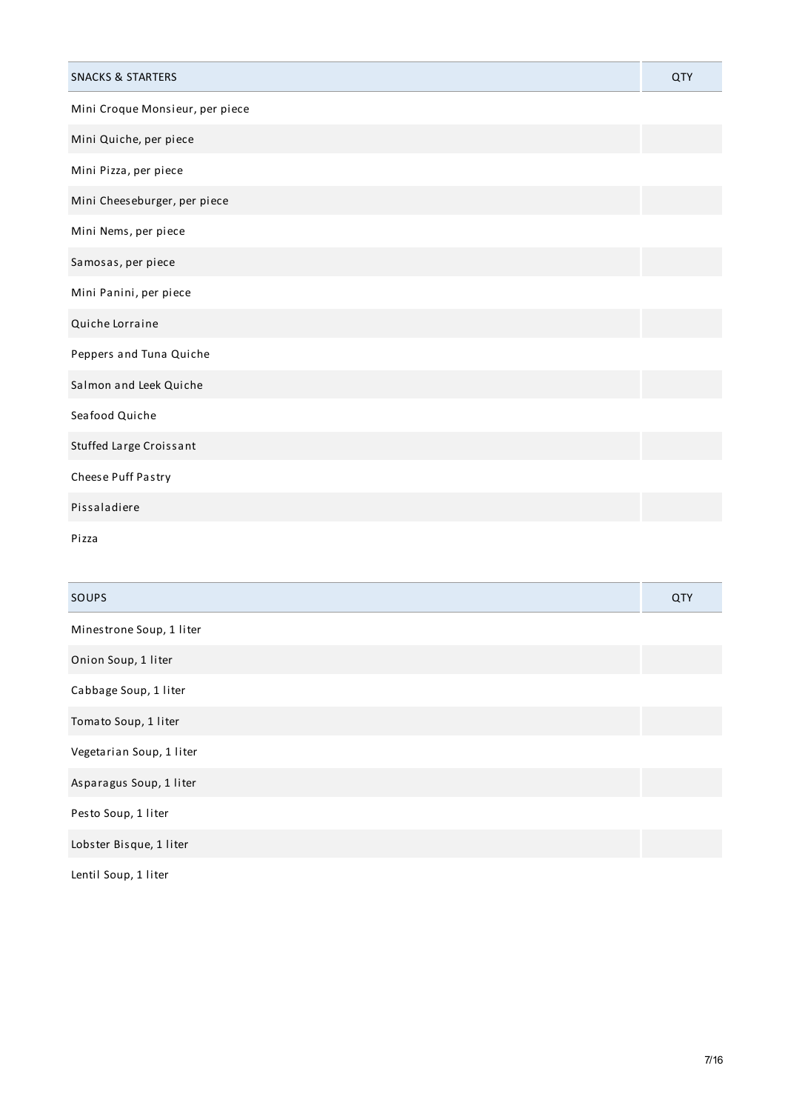| <b>SNACKS &amp; STARTERS</b>    | <b>QTY</b> |
|---------------------------------|------------|
| Mini Croque Monsieur, per piece |            |
| Mini Quiche, per piece          |            |
| Mini Pizza, per piece           |            |
| Mini Cheeseburger, per piece    |            |
| Mini Nems, per piece            |            |
| Samosas, per piece              |            |
| Mini Panini, per piece          |            |
| Quiche Lorraine                 |            |
| Peppers and Tuna Quiche         |            |
| Salmon and Leek Quiche          |            |
| Seafood Quiche                  |            |
| Stuffed Large Croissant         |            |
| Cheese Puff Pastry              |            |
| Pissaladiere                    |            |
| Pizza                           |            |
|                                 |            |
| SOUPS                           | <b>QTY</b> |
| Minestrone Soup, 1 liter        |            |
| Onion Soup, 1 liter             |            |

Cabbage Soup, 1 liter

Tomato Soup, 1 liter

Vegetarian Soup, 1 liter

Asparagus Soup, 1 liter

Pesto Soup, 1 liter

Lobster Bisque, 1 liter

Lentil Soup, 1 liter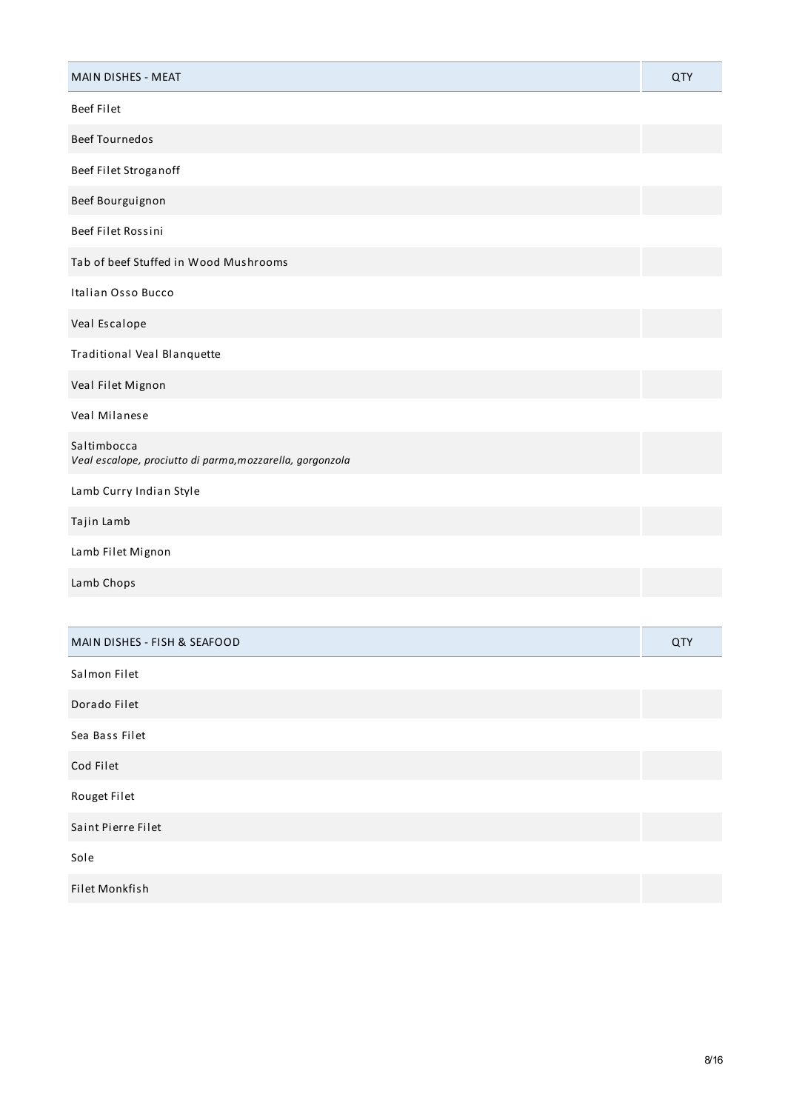| MAIN DISHES - MEAT                                                       | QTY        |
|--------------------------------------------------------------------------|------------|
| <b>Beef Filet</b>                                                        |            |
| <b>Beef Tournedos</b>                                                    |            |
| Beef Filet Stroganoff                                                    |            |
| Beef Bourguignon                                                         |            |
| Beef Filet Rossini                                                       |            |
| Tab of beef Stuffed in Wood Mushrooms                                    |            |
| Italian Osso Bucco                                                       |            |
| Veal Escalope                                                            |            |
| Traditional Veal Blanquette                                              |            |
| Veal Filet Mignon                                                        |            |
| Veal Milanese                                                            |            |
| Saltimbocca<br>Veal escalope, prociutto di parma, mozzarella, gorgonzola |            |
| Lamb Curry Indian Style                                                  |            |
| Tajin Lamb                                                               |            |
| Lamb Filet Mignon                                                        |            |
| Lamb Chops                                                               |            |
|                                                                          |            |
| MAIN DISHES - FISH & SEAFOOD                                             | <b>QTY</b> |
| Salmon Filet                                                             |            |
| Dorado Filet                                                             |            |
| Sea Bass Filet                                                           |            |
| Cod Filet                                                                |            |
| Rouget Filet                                                             |            |
| Saint Pierre Filet                                                       |            |
| Sole                                                                     |            |
| Filet Monkfish                                                           |            |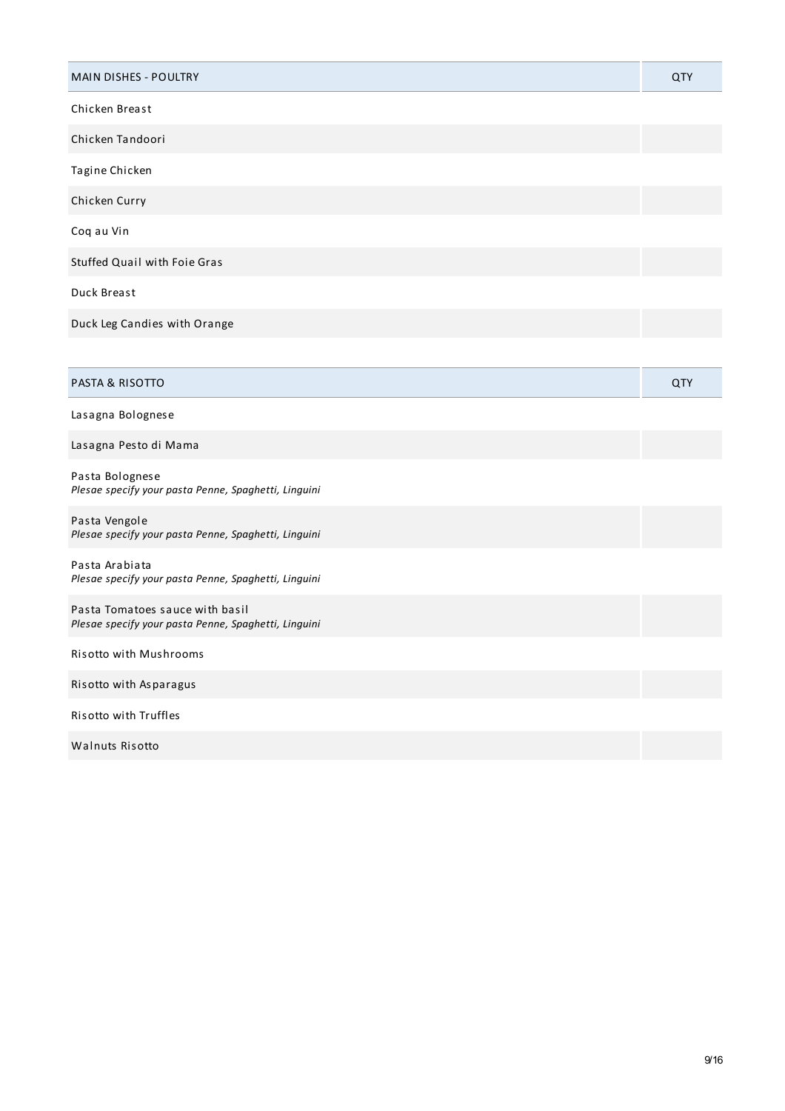| MAIN DISHES - POULTRY                                                                   | <b>QTY</b> |
|-----------------------------------------------------------------------------------------|------------|
| Chicken Breast                                                                          |            |
| Chicken Tandoori                                                                        |            |
| Tagine Chicken                                                                          |            |
| Chicken Curry                                                                           |            |
| Coq au Vin                                                                              |            |
| Stuffed Quail with Foie Gras                                                            |            |
| Duck Breast                                                                             |            |
| Duck Leg Candies with Orange                                                            |            |
|                                                                                         |            |
| PASTA & RISOTTO                                                                         | QTY        |
| Lasagna Bolognese                                                                       |            |
| Lasagna Pesto di Mama                                                                   |            |
| Pasta Bolognese<br>Plesae specify your pasta Penne, Spaghetti, Linguini                 |            |
| Pasta Vengole<br>Plesae specify your pasta Penne, Spaghetti, Linguini                   |            |
| Pasta Arabiata<br>Plesae specify your pasta Penne, Spaghetti, Linguini                  |            |
| Pasta Tomatoes sauce with basil<br>Plesae specify your pasta Penne, Spaghetti, Linguini |            |
| Risotto with Mushrooms                                                                  |            |
| Risotto with Asparagus                                                                  |            |
| Risotto with Truffles                                                                   |            |
| Walnuts Risotto                                                                         |            |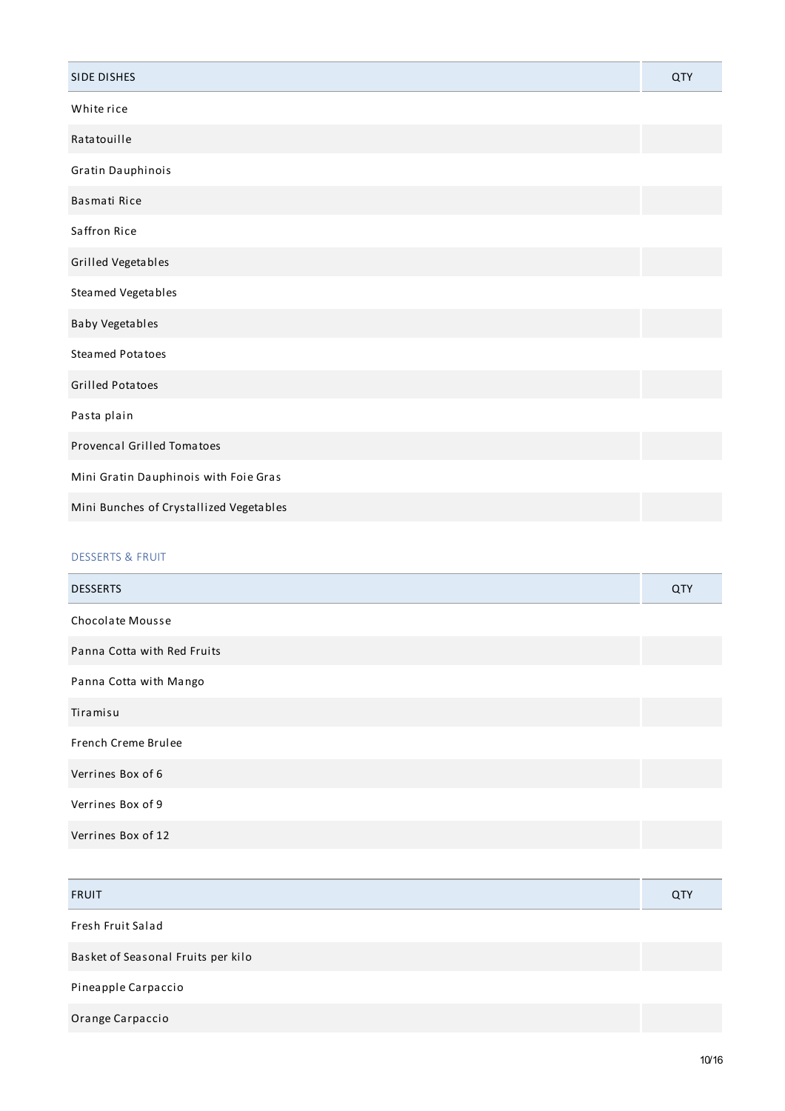| <b>SIDE DISHES</b>                      | QTY |
|-----------------------------------------|-----|
| White rice                              |     |
| Ratatouille                             |     |
| Gratin Dauphinois                       |     |
| Basmati Rice                            |     |
| Saffron Rice                            |     |
| Grilled Vegetables                      |     |
| Steamed Vegetables                      |     |
| Baby Vegetables                         |     |
| <b>Steamed Potatoes</b>                 |     |
| <b>Grilled Potatoes</b>                 |     |
| Pasta plain                             |     |
| <b>Provencal Grilled Tomatoes</b>       |     |
| Mini Gratin Dauphinois with Foie Gras   |     |
| Mini Bunches of Crystallized Vegetables |     |
|                                         |     |

# DESSERTS & FRUIT

| <b>DESSERTS</b>             | QTY |
|-----------------------------|-----|
| <b>Chocolate Mousse</b>     |     |
| Panna Cotta with Red Fruits |     |
| Panna Cotta with Mango      |     |
| Tiramisu                    |     |
| French Creme Brulee         |     |
| Verrines Box of 6           |     |
| Verrines Box of 9           |     |
| Verrines Box of 12          |     |

| <b>FRUIT</b>                       | QTY |
|------------------------------------|-----|
| Fresh Fruit Salad                  |     |
| Basket of Seasonal Fruits per kilo |     |
| Pineapple Carpaccio                |     |
| Orange Carpaccio                   |     |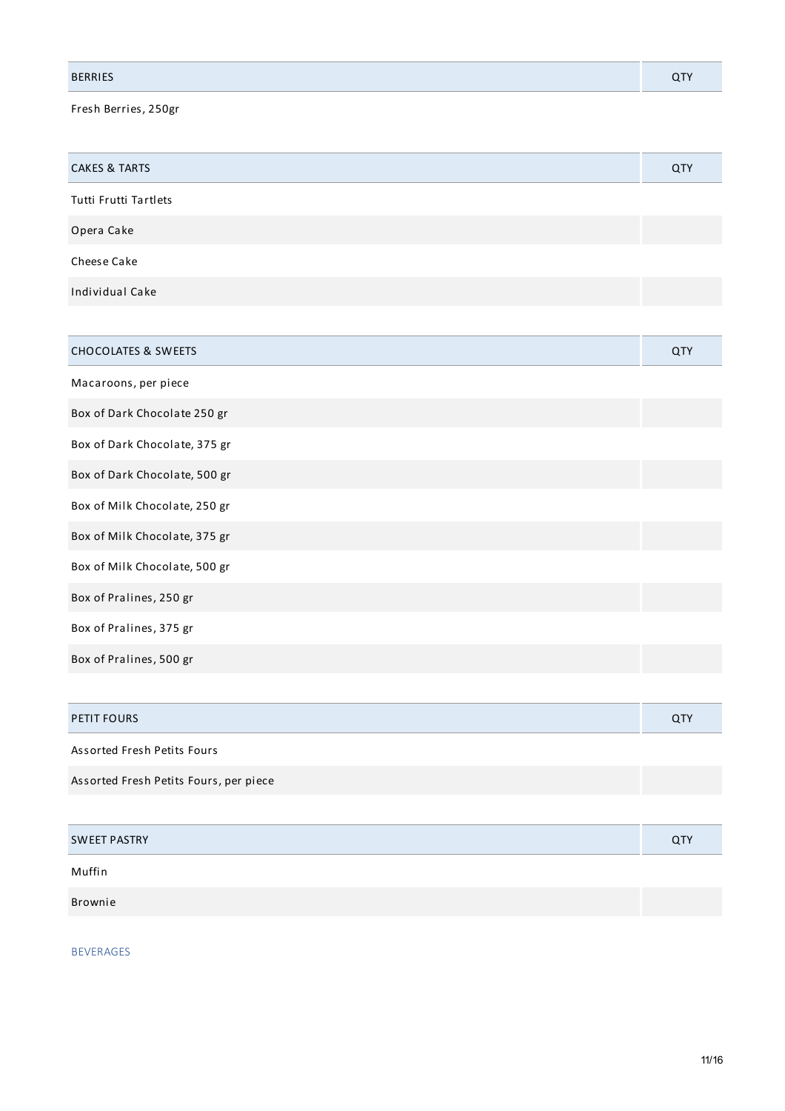| <b>BERRIES</b> |  |
|----------------|--|
|                |  |

Fresh Berries, 250gr

| <b>CAKES &amp; TARTS</b> | QTY |
|--------------------------|-----|
| Tutti Frutti Tartlets    |     |
| Opera Cake               |     |
| Cheese Cake              |     |
| Individual Cake          |     |

| <b>CHOCOLATES &amp; SWEETS</b> | QTY |
|--------------------------------|-----|
| Macaroons, per piece           |     |
| Box of Dark Chocolate 250 gr   |     |
| Box of Dark Chocolate, 375 gr  |     |
| Box of Dark Chocolate, 500 gr  |     |
| Box of Milk Chocolate, 250 gr  |     |
| Box of Milk Chocolate, 375 gr  |     |
| Box of Milk Chocolate, 500 gr  |     |
| Box of Pralines, 250 gr        |     |
| Box of Pralines, 375 gr        |     |
| Box of Pralines, 500 gr        |     |

| PETIT FOURS                            | <b>QTY</b> |
|----------------------------------------|------------|
| Assorted Fresh Petits Fours            |            |
| Assorted Fresh Petits Fours, per piece |            |

| <b>SWEET PASTRY</b> | <b>QTY</b> |
|---------------------|------------|
| Muffin              |            |
| Brownie             |            |

BEVERAGES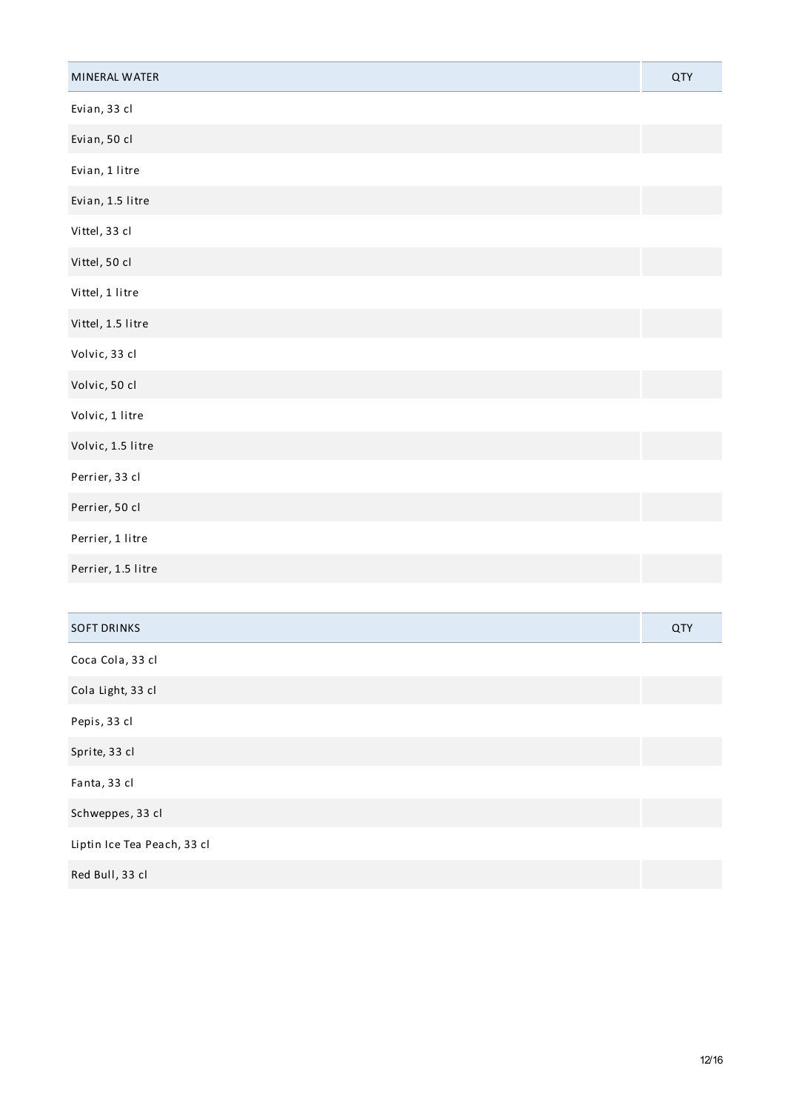| MINERAL WATER               | QTY |
|-----------------------------|-----|
| Evian, 33 cl                |     |
| Evian, 50 cl                |     |
| Evian, 1 litre              |     |
| Evian, 1.5 litre            |     |
| Vittel, 33 cl               |     |
| Vittel, 50 cl               |     |
| Vittel, 1 litre             |     |
| Vittel, 1.5 litre           |     |
| Volvic, 33 cl               |     |
| Volvic, 50 cl               |     |
| Volvic, 1 litre             |     |
| Volvic, 1.5 litre           |     |
| Perrier, 33 cl              |     |
| Perrier, 50 cl              |     |
| Perrier, 1 litre            |     |
| Perrier, 1.5 litre          |     |
|                             |     |
| <b>SOFT DRINKS</b>          | QTY |
| Coca Cola, 33 cl            |     |
| Cola Light, 33 cl           |     |
| Pepis, 33 cl                |     |
| Sprite, 33 cl               |     |
| Fanta, 33 cl                |     |
| Schweppes, 33 cl            |     |
| Liptin Ice Tea Peach, 33 cl |     |
| Red Bull, 33 cl             |     |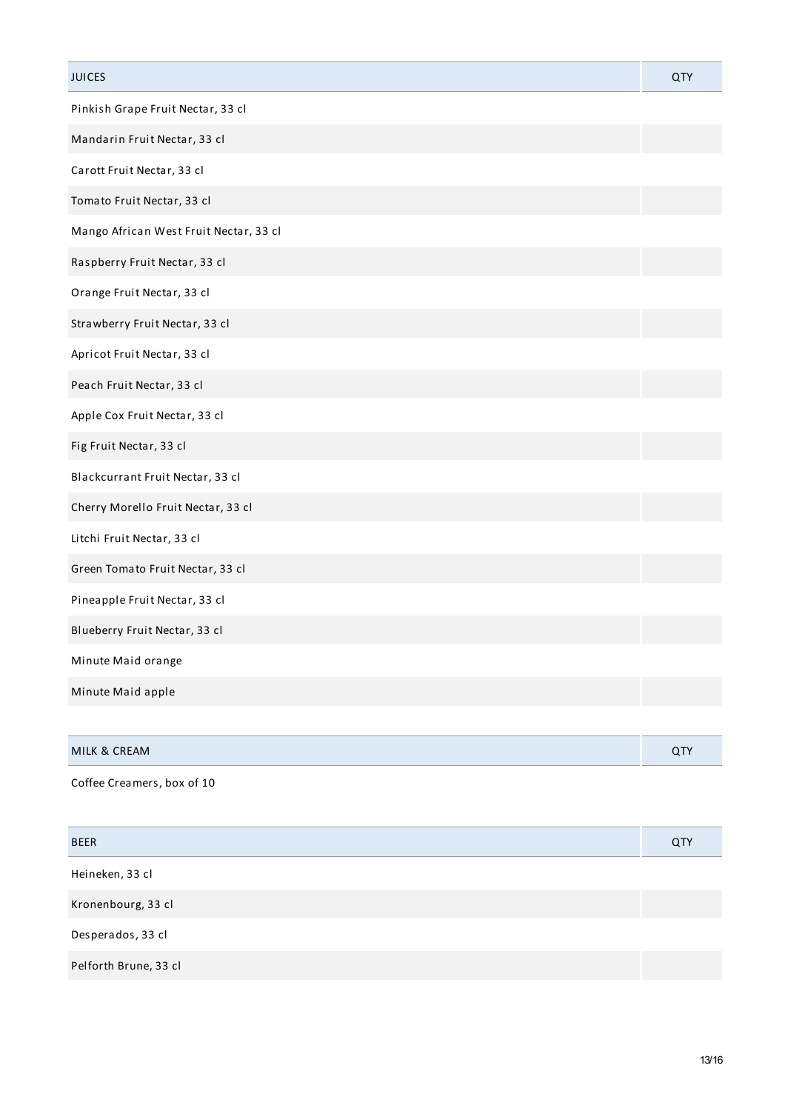| <b>JUICES</b>                          | QTY |
|----------------------------------------|-----|
| Pinkish Grape Fruit Nectar, 33 cl      |     |
| Mandarin Fruit Nectar, 33 cl           |     |
| Carott Fruit Nectar, 33 cl             |     |
| Tomato Fruit Nectar, 33 cl             |     |
| Mango African West Fruit Nectar, 33 cl |     |
| Raspberry Fruit Nectar, 33 cl          |     |
| Orange Fruit Nectar, 33 cl             |     |
| Strawberry Fruit Nectar, 33 cl         |     |
| Apricot Fruit Nectar, 33 cl            |     |
| Peach Fruit Nectar, 33 cl              |     |
| Apple Cox Fruit Nectar, 33 cl          |     |
| Fig Fruit Nectar, 33 cl                |     |
| Blackcurrant Fruit Nectar, 33 cl       |     |
| Cherry Morello Fruit Nectar, 33 cl     |     |
| Litchi Fruit Nectar, 33 cl             |     |
| Green Tomato Fruit Nectar, 33 cl       |     |
| Pineapple Fruit Nectar, 33 cl          |     |
| Blueberry Fruit Nectar, 33 cl          |     |
| Minute Maid orange                     |     |
| Minute Maid apple                      |     |
|                                        |     |
| MILK & CREAM                           | QTY |
| Coffee Creamers, box of 10             |     |
|                                        |     |
| <b>BEER</b>                            | QTY |
| Heineken, 33 cl                        |     |
| Kronenbourg, 33 cl                     |     |
| Desperados, 33 cl                      |     |
| Pelforth Brune, 33 cl                  |     |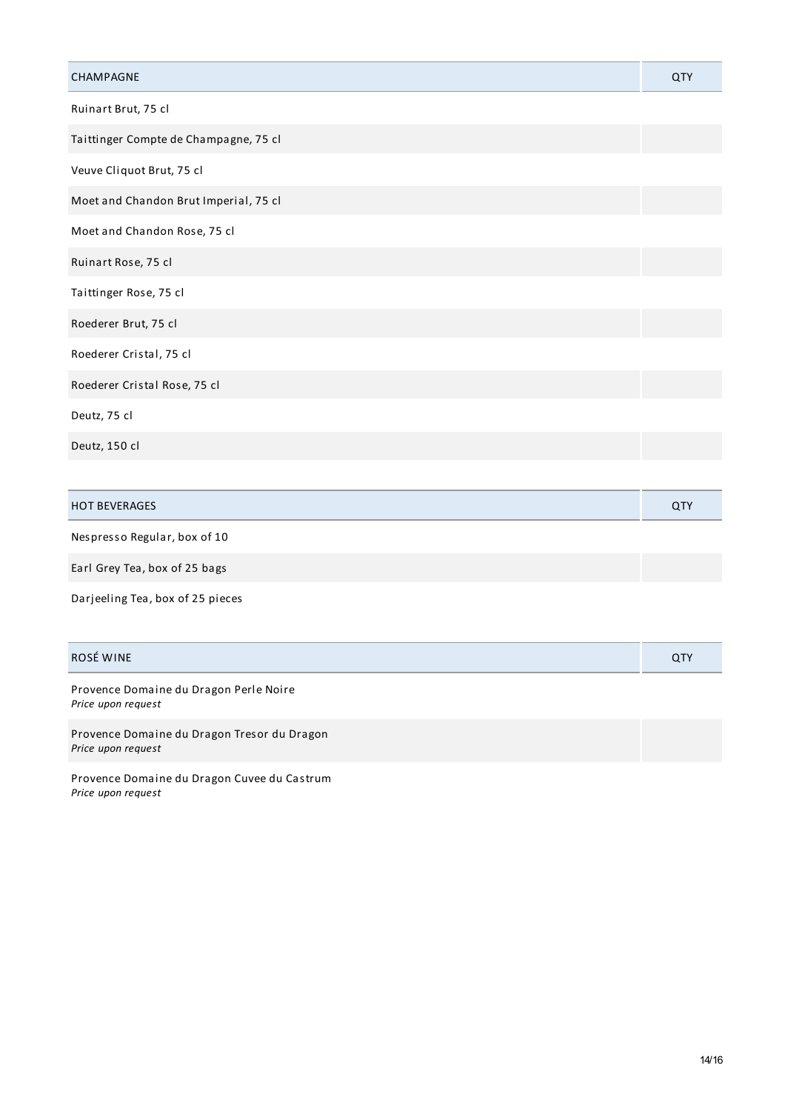| CHAMPAGNE                             | QTY |
|---------------------------------------|-----|
| Ruinart Brut, 75 cl                   |     |
| Taittinger Compte de Champagne, 75 cl |     |
| Veuve Cliquot Brut, 75 cl             |     |
| Moet and Chandon Brut Imperial, 75 cl |     |
| Moet and Chandon Rose, 75 cl          |     |
| Ruinart Rose, 75 cl                   |     |
| Taittinger Rose, 75 cl                |     |
| Roederer Brut, 75 cl                  |     |
| Roederer Cristal, 75 cl               |     |
| Roederer Cristal Rose, 75 cl          |     |
| Deutz, 75 cl                          |     |
| Deutz, 150 cl                         |     |
|                                       |     |

| <b>BEVERAGES</b><br><b>HOT</b> |  |
|--------------------------------|--|
|                                |  |

| Nespresso Regular, box of 10 |  |
|------------------------------|--|
|                              |  |

Earl Grey Tea, box of 25 bags

Darjeeling Tea, box of 25 pieces

## ROSÉ WINE QTY

Provence Domaine du Dragon Perle Noire *Price upon request*

Provence Domaine du Dragon Tresor du Dragon *Price upon request*

Provence Domaine du Dragon Cuvee du Castrum *Price upon request*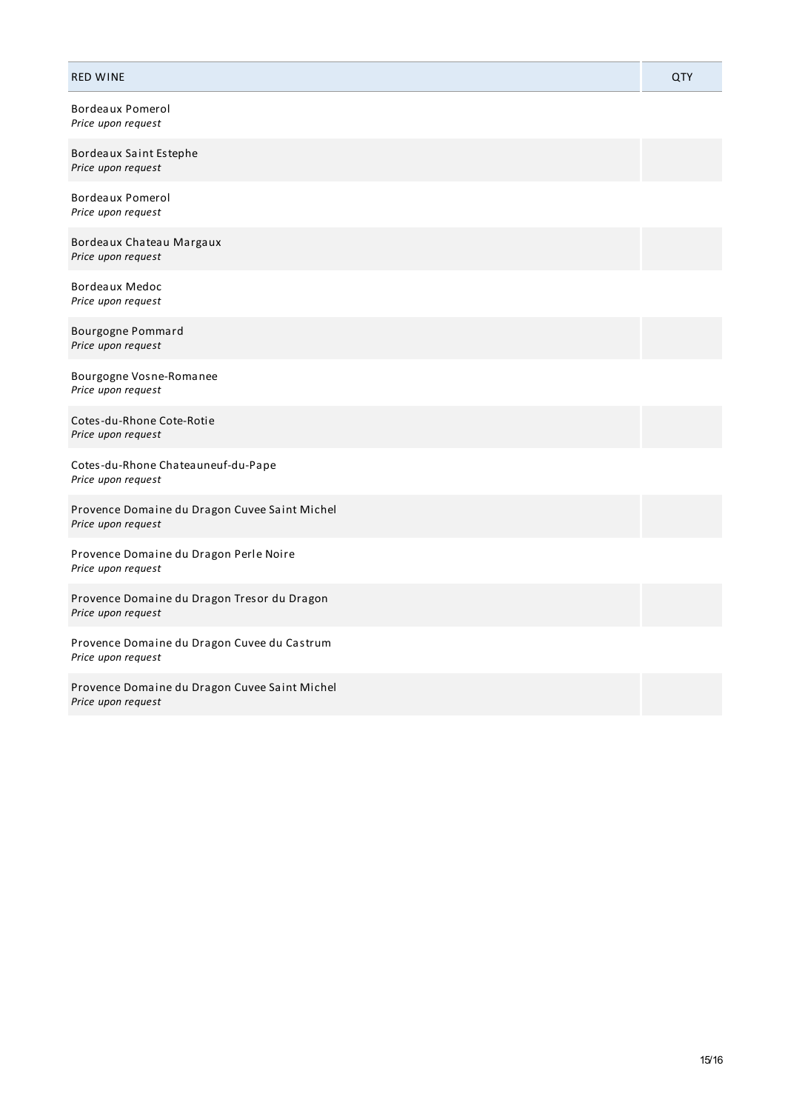## RED WINE QTY

Bordeaux Pomerol *Price upon request*

Bordeaux Saint Estephe *Price upon request*

Bordeaux Pomerol *Price upon request*

Bordeaux Chateau Margaux *Price upon request*

Bordeaux Medoc *Price upon request*

Bourgogne Pommard *Price upon request*

Bourgogne Vosne-Romanee *Price upon request*

Cotes-du-Rhone Cote-Rotie *Price upon request*

Cotes-du-Rhone Chateauneuf-du-Pape *Price upon request*

Provence Domaine du Dragon Cuvee Saint Michel *Price upon request*

Provence Domaine du Dragon Perle Noire *Price upon request*

Provence Domaine du Dragon Tresor du Dragon *Price upon request*

Provence Domaine du Dragon Cuvee du Castrum *Price upon request*

Provence Domaine du Dragon Cuvee Saint Michel *Price upon request*

15/16